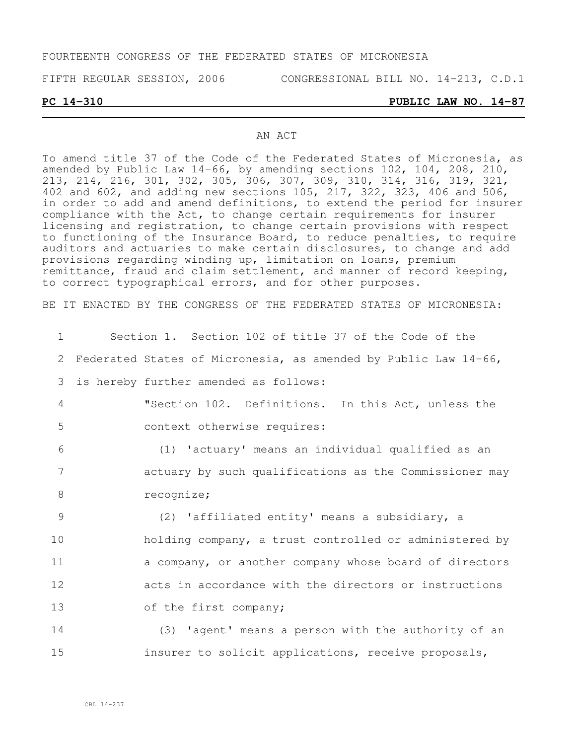#### FOURTEENTH CONGRESS OF THE FEDERATED STATES OF MICRONESIA

FIFTH REGULAR SESSION, 2006 CONGRESSIONAL BILL NO. 14-213, C.D.1

**PC 14-310 PUBLIC LAW NO. 14-87**

#### AN ACT

To amend title 37 of the Code of the Federated States of Micronesia, as amended by Public Law 14-66, by amending sections 102, 104, 208, 210, 213, 214, 216, 301, 302, 305, 306, 307, 309, 310, 314, 316, 319, 321, 402 and 602, and adding new sections 105, 217, 322, 323, 406 and 506, in order to add and amend definitions, to extend the period for insurer compliance with the Act, to change certain requirements for insurer licensing and registration, to change certain provisions with respect to functioning of the Insurance Board, to reduce penalties, to require auditors and actuaries to make certain disclosures, to change and add provisions regarding winding up, limitation on loans, premium remittance, fraud and claim settlement, and manner of record keeping, to correct typographical errors, and for other purposes.

BE IT ENACTED BY THE CONGRESS OF THE FEDERATED STATES OF MICRONESIA:

| 1              | Section 1. Section 102 of title 37 of the Code of the           |
|----------------|-----------------------------------------------------------------|
| 2              | Federated States of Micronesia, as amended by Public Law 14-66, |
| 3              | is hereby further amended as follows:                           |
| $\overline{4}$ | "Section 102. Definitions. In this Act, unless the              |
| 5              | context otherwise requires:                                     |
| 6              | (1) 'actuary' means an individual qualified as an               |
| 7              | actuary by such qualifications as the Commissioner may          |
| 8              | recognize;                                                      |
| 9              | (2) 'affiliated entity' means a subsidiary, a                   |
| 10             | holding company, a trust controlled or administered by          |
| 11             | a company, or another company whose board of directors          |
| 12             | acts in accordance with the directors or instructions           |
| 13             | of the first company;                                           |
| 14             | (3) 'agent' means a person with the authority of an             |
| 15             | insurer to solicit applications, receive proposals,             |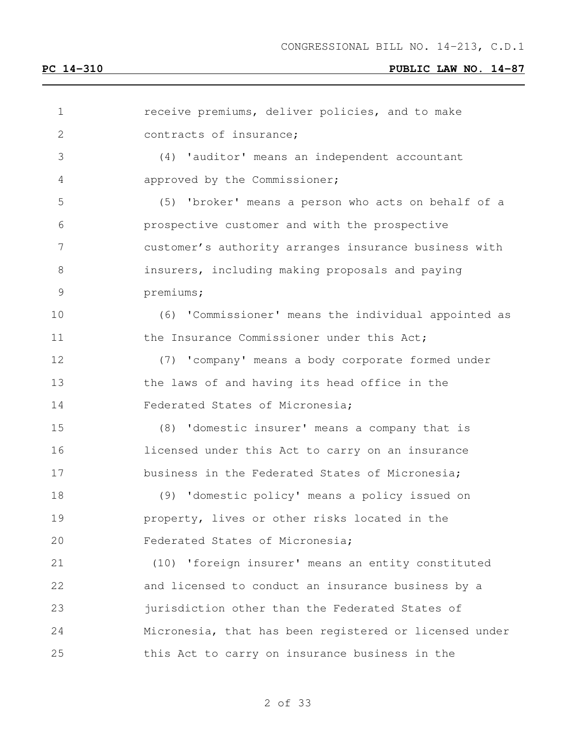| $\mathbf 1$   | receive premiums, deliver policies, and to make        |
|---------------|--------------------------------------------------------|
| 2             | contracts of insurance;                                |
| 3             | (4) 'auditor' means an independent accountant          |
| 4             | approved by the Commissioner;                          |
| 5             | (5) 'broker' means a person who acts on behalf of a    |
| 6             | prospective customer and with the prospective          |
| 7             | customer's authority arranges insurance business with  |
| 8             | insurers, including making proposals and paying        |
| $\mathcal{G}$ | premiums;                                              |
| 10            | (6) 'Commissioner' means the individual appointed as   |
| 11            | the Insurance Commissioner under this Act;             |
| 12            | (7) 'company' means a body corporate formed under      |
| 13            | the laws of and having its head office in the          |
| 14            | Federated States of Micronesia;                        |
| 15            | (8) 'domestic insurer' means a company that is         |
| 16            | licensed under this Act to carry on an insurance       |
| 17            | business in the Federated States of Micronesia;        |
| 18            | (9) 'domestic policy' means a policy issued on         |
| 19            | property, lives or other risks located in the          |
| 20            | Federated States of Micronesia;                        |
| 21            | (10) 'foreign insurer' means an entity constituted     |
| 22            | and licensed to conduct an insurance business by a     |
| 23            | jurisdiction other than the Federated States of        |
| 24            | Micronesia, that has been registered or licensed under |
| 25            | this Act to carry on insurance business in the         |
|               |                                                        |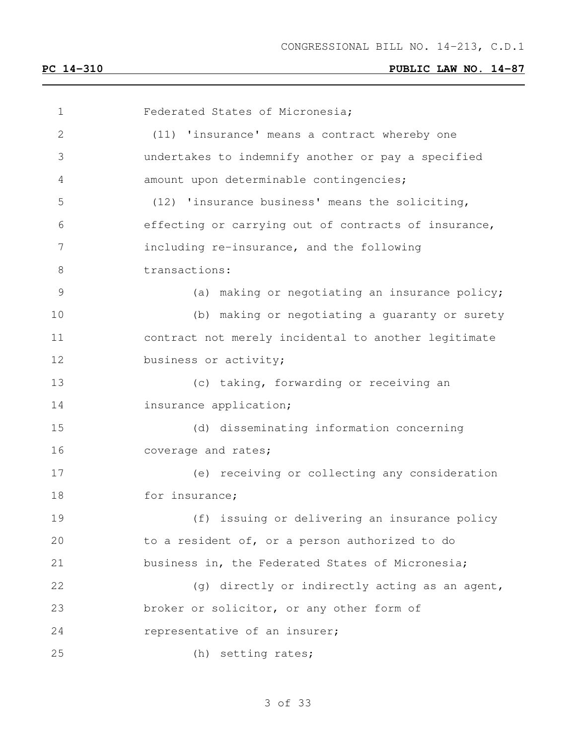Federated States of Micronesia; (11) 'insurance' means a contract whereby one undertakes to indemnify another or pay a specified amount upon determinable contingencies; (12) 'insurance business' means the soliciting, effecting or carrying out of contracts of insurance, including re-insurance, and the following transactions: (a) making or negotiating an insurance policy; (b) making or negotiating a guaranty or surety contract not merely incidental to another legitimate 12 business or activity; (c) taking, forwarding or receiving an **insurance application;**  (d) disseminating information concerning 16 coverage and rates; (e) receiving or collecting any consideration 18 for insurance; (f) issuing or delivering an insurance policy to a resident of, or a person authorized to do business in, the Federated States of Micronesia; 22 (g) directly or indirectly acting as an agent, broker or solicitor, or any other form of representative of an insurer; (h) setting rates;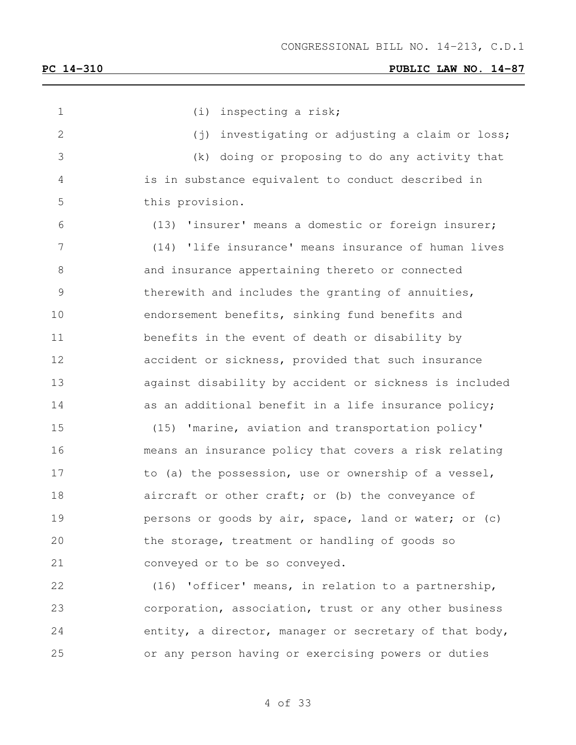1 (i) inspecting a risk; 2 (j) investigating or adjusting a claim or loss; (k) doing or proposing to do any activity that is in substance equivalent to conduct described in this provision. (13) 'insurer' means a domestic or foreign insurer; (14) 'life insurance' means insurance of human lives and insurance appertaining thereto or connected therewith and includes the granting of annuities, endorsement benefits, sinking fund benefits and benefits in the event of death or disability by accident or sickness, provided that such insurance against disability by accident or sickness is included 14 as an additional benefit in a life insurance policy; (15) 'marine, aviation and transportation policy' means an insurance policy that covers a risk relating 17 to (a) the possession, use or ownership of a vessel, 18 aircraft or other craft; or (b) the conveyance of **persons or goods by air, space, land or water; or (c)**  the storage, treatment or handling of goods so conveyed or to be so conveyed. (16) 'officer' means, in relation to a partnership, corporation, association, trust or any other business entity, a director, manager or secretary of that body, or any person having or exercising powers or duties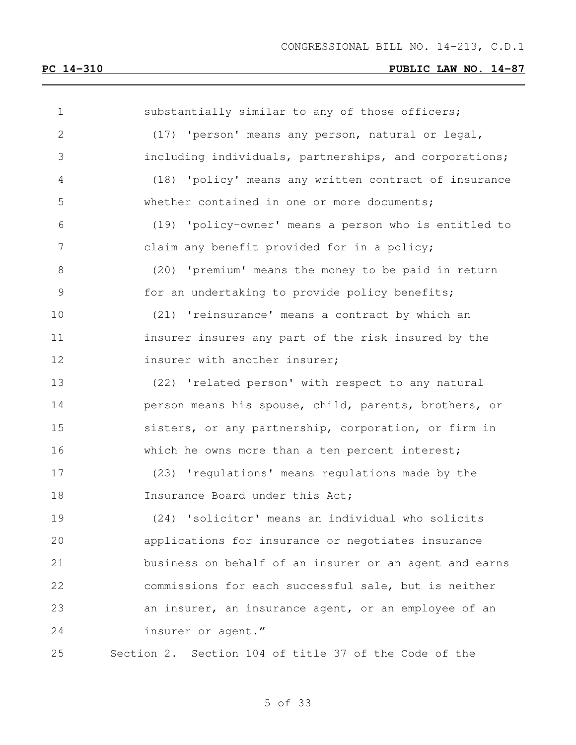| $\mathbf 1$   | substantially similar to any of those officers;        |
|---------------|--------------------------------------------------------|
| $\mathbf{2}$  | (17) 'person' means any person, natural or legal,      |
| 3             | including individuals, partnerships, and corporations; |
| 4             | (18) 'policy' means any written contract of insurance  |
| 5             | whether contained in one or more documents;            |
| 6             | (19) 'policy-owner' means a person who is entitled to  |
| 7             | claim any benefit provided for in a policy;            |
| 8             | (20) 'premium' means the money to be paid in return    |
| $\mathcal{G}$ | for an undertaking to provide policy benefits;         |
| 10            | (21) 'reinsurance' means a contract by which an        |
| 11            | insurer insures any part of the risk insured by the    |
| 12            | insurer with another insurer;                          |
| 13            | (22) 'related person' with respect to any natural      |
| 14            | person means his spouse, child, parents, brothers, or  |
| 15            | sisters, or any partnership, corporation, or firm in   |
| 16            | which he owns more than a ten percent interest;        |
| 17            | (23) 'regulations' means regulations made by the       |
| 18            | Insurance Board under this Act;                        |
| 19            | (24) 'solicitor' means an individual who solicits      |
| 20            | applications for insurance or negotiates insurance     |
| 21            | business on behalf of an insurer or an agent and earns |
| 22            | commissions for each successful sale, but is neither   |
| 23            | an insurer, an insurance agent, or an employee of an   |
| 24            | insurer or agent."                                     |
| 25            | Section 2. Section 104 of title 37 of the Code of the  |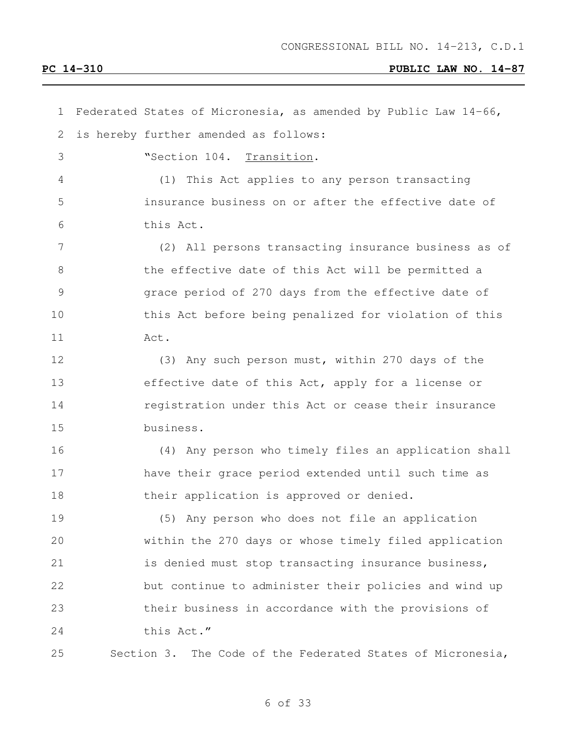| 1  | Federated States of Micronesia, as amended by Public Law 14-66, |
|----|-----------------------------------------------------------------|
| 2  | is hereby further amended as follows:                           |
| 3  | "Section 104. Transition.                                       |
| 4  | (1) This Act applies to any person transacting                  |
| 5  | insurance business on or after the effective date of            |
| 6  | this Act.                                                       |
| 7  | (2) All persons transacting insurance business as of            |
| 8  | the effective date of this Act will be permitted a              |
| 9  | grace period of 270 days from the effective date of             |
| 10 | this Act before being penalized for violation of this           |
| 11 | Act.                                                            |
| 12 | (3) Any such person must, within 270 days of the                |
| 13 | effective date of this Act, apply for a license or              |
| 14 | registration under this Act or cease their insurance            |
| 15 | business.                                                       |
| 16 | (4) Any person who timely files an application shall            |
| 17 | have their grace period extended until such time as             |
| 18 | their application is approved or denied.                        |
| 19 | (5) Any person who does not file an application                 |
| 20 | within the 270 days or whose timely filed application           |
| 21 | is denied must stop transacting insurance business,             |
| 22 | but continue to administer their policies and wind up           |
| 23 | their business in accordance with the provisions of             |
| 24 | this Act."                                                      |
| 25 | Section 3. The Code of the Federated States of Micronesia,      |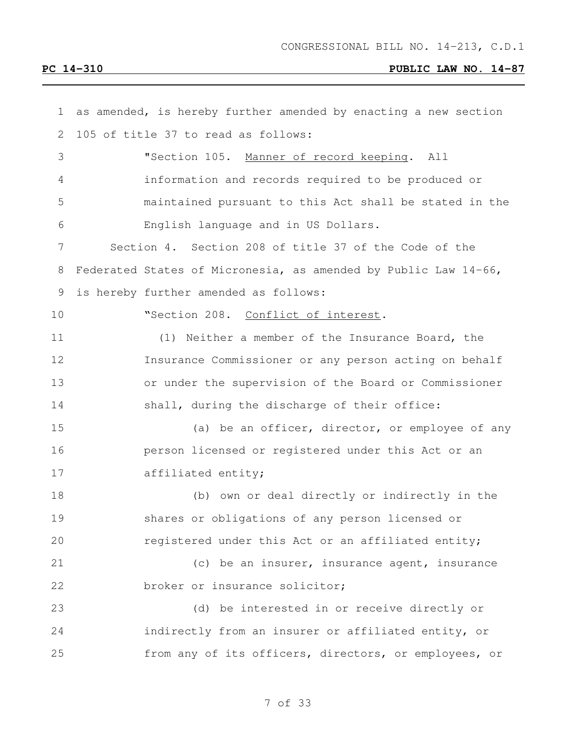| $\mathbf 1$    | as amended, is hereby further amended by enacting a new section |
|----------------|-----------------------------------------------------------------|
| 2              | 105 of title 37 to read as follows:                             |
| 3              | "Section 105. Manner of record keeping. All                     |
| 4              | information and records required to be produced or              |
| 5              | maintained pursuant to this Act shall be stated in the          |
| 6              | English language and in US Dollars.                             |
| $\overline{7}$ | Section 4. Section 208 of title 37 of the Code of the           |
| 8              | Federated States of Micronesia, as amended by Public Law 14-66, |
| 9              | is hereby further amended as follows:                           |
| 10             | "Section 208. Conflict of interest.                             |
| 11             | (1) Neither a member of the Insurance Board, the                |
| 12             | Insurance Commissioner or any person acting on behalf           |
| 13             | or under the supervision of the Board or Commissioner           |
| 14             | shall, during the discharge of their office:                    |
| 15             | (a) be an officer, director, or employee of any                 |
| 16             | person licensed or registered under this Act or an              |
| 17             | affiliated entity;                                              |
| 18             | (b) own or deal directly or indirectly in the                   |
| 19             | shares or obligations of any person licensed or                 |
| 20             | registered under this Act or an affiliated entity;              |
| 21             | (c) be an insurer, insurance agent, insurance                   |
| 22             | broker or insurance solicitor;                                  |
| 23             | (d) be interested in or receive directly or                     |
| 24             | indirectly from an insurer or affiliated entity, or             |
| 25             | from any of its officers, directors, or employees, or           |
|                |                                                                 |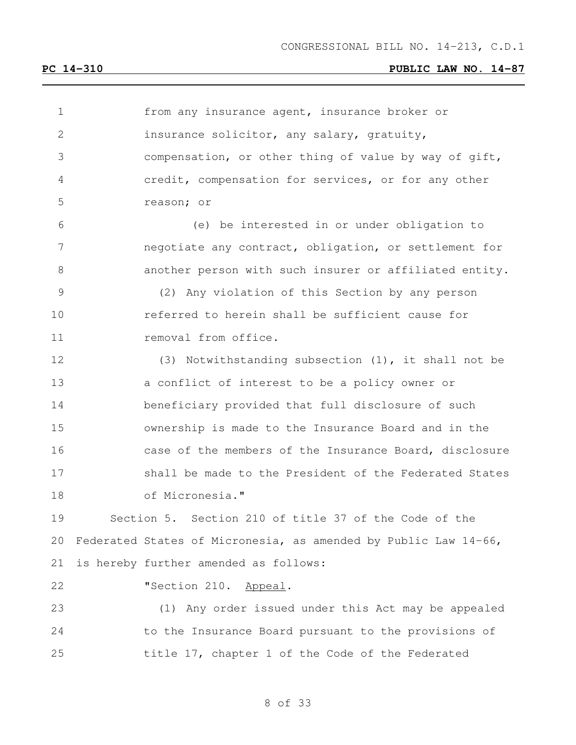| $\mathbf 1$    | from any insurance agent, insurance broker or                   |
|----------------|-----------------------------------------------------------------|
| $\mathbf{2}$   | insurance solicitor, any salary, gratuity,                      |
| 3              | compensation, or other thing of value by way of gift,           |
| 4              | credit, compensation for services, or for any other             |
| 5              | reason; or                                                      |
| 6              | (e) be interested in or under obligation to                     |
| $\overline{7}$ | negotiate any contract, obligation, or settlement for           |
| $\,8\,$        | another person with such insurer or affiliated entity.          |
| $\mathsf 9$    | (2) Any violation of this Section by any person                 |
| 10             | referred to herein shall be sufficient cause for                |
| 11             | removal from office.                                            |
| 12             | (3) Notwithstanding subsection $(1)$ , it shall not be          |
| 13             | a conflict of interest to be a policy owner or                  |
| 14             | beneficiary provided that full disclosure of such               |
| 15             | ownership is made to the Insurance Board and in the             |
| 16             | case of the members of the Insurance Board, disclosure          |
| 17             | shall be made to the President of the Federated States          |
| 18             | of Micronesia."                                                 |
| 19             | Section 5. Section 210 of title 37 of the Code of the           |
| 20             | Federated States of Micronesia, as amended by Public Law 14-66, |
| 21             | is hereby further amended as follows:                           |
| 22             | "Section 210.<br>Appeal.                                        |
| 23             | (1) Any order issued under this Act may be appealed             |
| 24             | to the Insurance Board pursuant to the provisions of            |
| 25             | title 17, chapter 1 of the Code of the Federated                |
|                |                                                                 |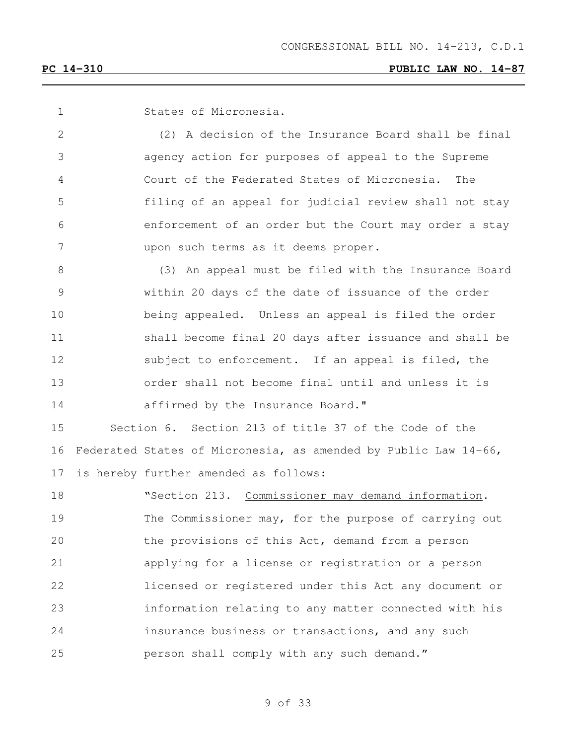States of Micronesia. (2) A decision of the Insurance Board shall be final agency action for purposes of appeal to the Supreme Court of the Federated States of Micronesia. The filing of an appeal for judicial review shall not stay enforcement of an order but the Court may order a stay upon such terms as it deems proper. (3) An appeal must be filed with the Insurance Board within 20 days of the date of issuance of the order being appealed. Unless an appeal is filed the order shall become final 20 days after issuance and shall be subject to enforcement. If an appeal is filed, the order shall not become final until and unless it is **affirmed by the Insurance Board.**" Section 6. Section 213 of title 37 of the Code of the Federated States of Micronesia, as amended by Public Law 14-66, is hereby further amended as follows: 18 "Section 213. Commissioner may demand information. The Commissioner may, for the purpose of carrying out the provisions of this Act, demand from a person applying for a license or registration or a person licensed or registered under this Act any document or information relating to any matter connected with his insurance business or transactions, and any such person shall comply with any such demand."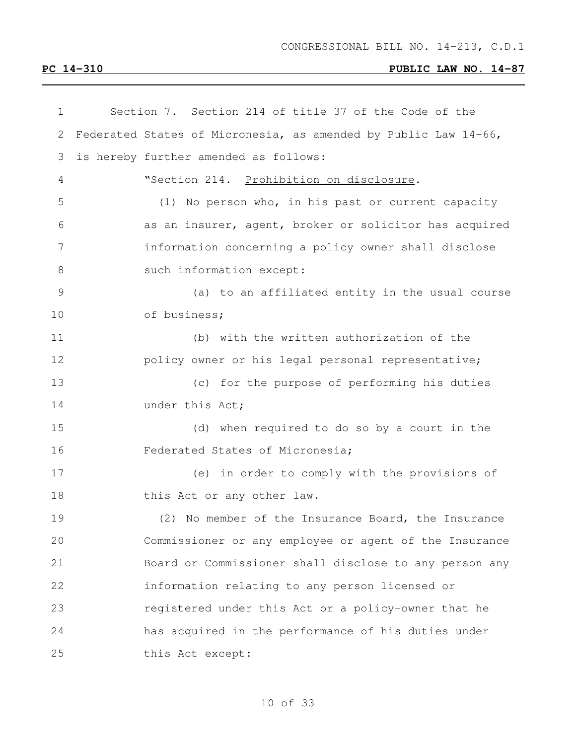| $\mathbf 1$ | Section 7. Section 214 of title 37 of the Code of the           |
|-------------|-----------------------------------------------------------------|
| 2           | Federated States of Micronesia, as amended by Public Law 14-66, |
| 3           | is hereby further amended as follows:                           |
| 4           | "Section 214. Prohibition on disclosure.                        |
| 5           | (1) No person who, in his past or current capacity              |
|             | as an insurer, agent, broker or solicitor has acquired          |
|             | information concerning a policy owner shall disclose            |
| 8           | such information except:                                        |
| 9           | (a) to an affiliated entity in the usual course                 |
|             | of business;                                                    |
| 11          | (b) with the written authorization of the                       |
| 12          | policy owner or his legal personal representative;              |
| 13          | (c) for the purpose of performing his duties                    |
|             | under this Act;                                                 |
|             | (d) when required to do so by a court in the                    |
| 16          | Federated States of Micronesia;                                 |
| 17          | (e) in order to comply with the provisions of                   |
| 18          | this Act or any other law.                                      |
| 19          | (2) No member of the Insurance Board, the Insurance             |
| 20          | Commissioner or any employee or agent of the Insurance          |
| 21          | Board or Commissioner shall disclose to any person any          |
| 22          | information relating to any person licensed or                  |
| 23          | registered under this Act or a policy-owner that he             |
| 24          | has acquired in the performance of his duties under             |
| 25          | this Act except:                                                |
|             |                                                                 |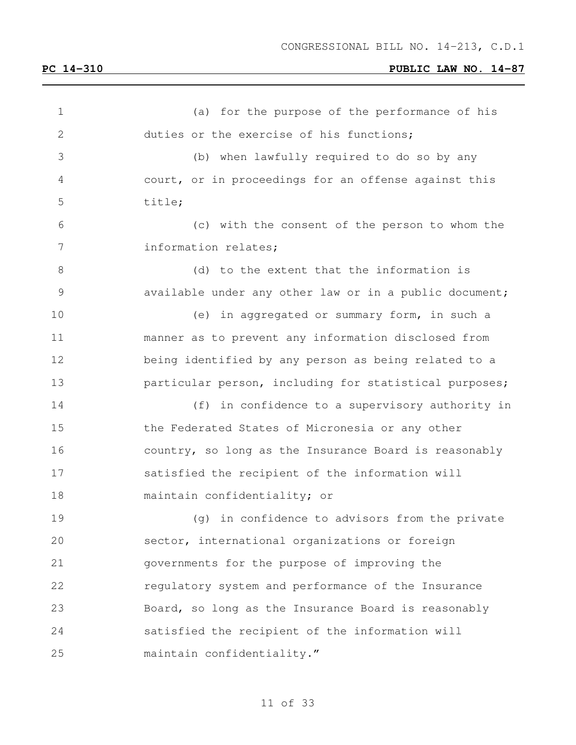| $\mathbf 1$    | (a) for the purpose of the performance of his          |
|----------------|--------------------------------------------------------|
| $\overline{2}$ | duties or the exercise of his functions;               |
| 3              | (b) when lawfully required to do so by any             |
| 4              | court, or in proceedings for an offense against this   |
| 5              | title;                                                 |
| 6              | (c) with the consent of the person to whom the         |
| 7              | information relates;                                   |
| 8              | (d) to the extent that the information is              |
| $\mathcal{G}$  | available under any other law or in a public document; |
| 10             | (e) in aggregated or summary form, in such a           |
| 11             | manner as to prevent any information disclosed from    |
| 12             | being identified by any person as being related to a   |
| 13             | particular person, including for statistical purposes; |
| 14             | in confidence to a supervisory authority in<br>(f)     |
| 15             | the Federated States of Micronesia or any other        |
| 16             | country, so long as the Insurance Board is reasonably  |
| 17             | satisfied the recipient of the information will        |
| 18             | maintain confidentiality; or                           |
| 19             | in confidence to advisors from the private<br>(q)      |
| 20             | sector, international organizations or foreign         |
| 21             | governments for the purpose of improving the           |
| 22             | regulatory system and performance of the Insurance     |
| 23             | Board, so long as the Insurance Board is reasonably    |
| 24             | satisfied the recipient of the information will        |
| 25             | maintain confidentiality."                             |
|                |                                                        |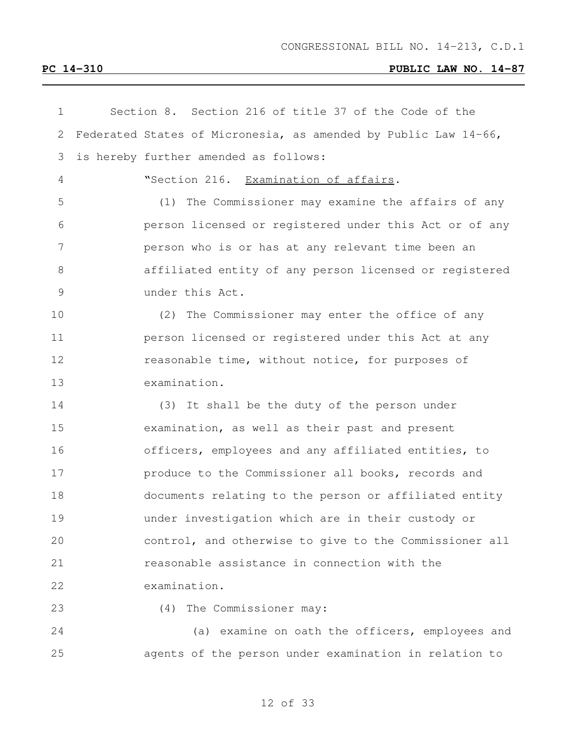| 1  | Section 8. Section 216 of title 37 of the Code of the           |
|----|-----------------------------------------------------------------|
| 2  | Federated States of Micronesia, as amended by Public Law 14-66, |
| 3  | is hereby further amended as follows:                           |
| 4  | "Section 216. Examination of affairs.                           |
| 5  | The Commissioner may examine the affairs of any<br>(1)          |
| 6  | person licensed or registered under this Act or of any          |
| 7  | person who is or has at any relevant time been an               |
| 8  | affiliated entity of any person licensed or registered          |
| 9  | under this Act.                                                 |
| 10 | (2) The Commissioner may enter the office of any                |
| 11 | person licensed or registered under this Act at any             |
| 12 | reasonable time, without notice, for purposes of                |
| 13 | examination.                                                    |
| 14 | (3) It shall be the duty of the person under                    |
| 15 | examination, as well as their past and present                  |
| 16 | officers, employees and any affiliated entities, to             |
| 17 | produce to the Commissioner all books, records and              |
| 18 | documents relating to the person or affiliated entity           |
| 19 | under investigation which are in their custody or               |
| 20 | control, and otherwise to give to the Commissioner all          |
| 21 | reasonable assistance in connection with the                    |
| 22 | examination.                                                    |
| 23 | The Commissioner may:<br>(4)                                    |
| 24 | (a) examine on oath the officers, employees and                 |
| 25 | agents of the person under examination in relation to           |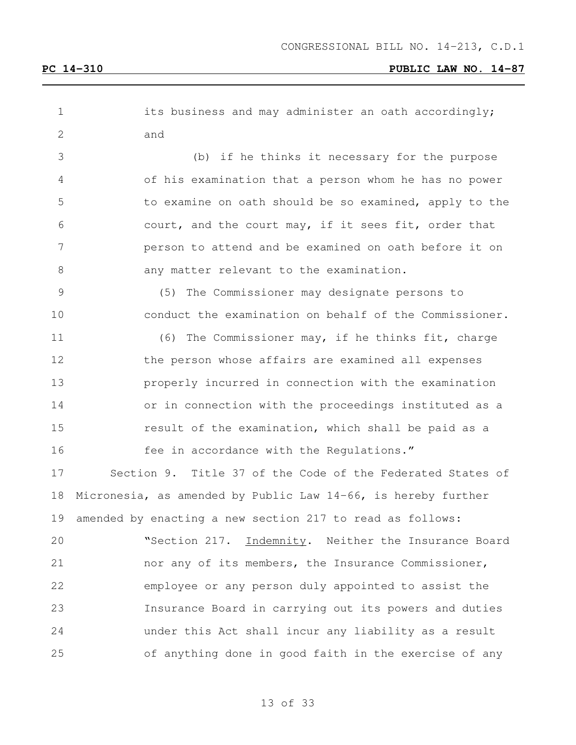| $\mathbf 1$     | its business and may administer an oath accordingly;          |
|-----------------|---------------------------------------------------------------|
| 2               | and                                                           |
| 3               | (b) if he thinks it necessary for the purpose                 |
| 4               | of his examination that a person whom he has no power         |
| 5               | to examine on oath should be so examined, apply to the        |
| 6               | court, and the court may, if it sees fit, order that          |
| $7\phantom{.0}$ | person to attend and be examined on oath before it on         |
| 8               | any matter relevant to the examination.                       |
| $\mathcal{G}$   | (5) The Commissioner may designate persons to                 |
| 10              | conduct the examination on behalf of the Commissioner.        |
| 11              | (6) The Commissioner may, if he thinks fit, charge            |
| 12              | the person whose affairs are examined all expenses            |
| 13              | properly incurred in connection with the examination          |
| 14              | or in connection with the proceedings instituted as a         |
| 15              | result of the examination, which shall be paid as a           |
| 16              | fee in accordance with the Regulations."                      |
| 17              | Section 9. Title 37 of the Code of the Federated States of    |
| 18              | Micronesia, as amended by Public Law 14-66, is hereby further |
| 19              | amended by enacting a new section 217 to read as follows:     |
| 20              | "Section 217. Indemnity. Neither the Insurance Board          |
| 21              | nor any of its members, the Insurance Commissioner,           |
| 22              | employee or any person duly appointed to assist the           |
| 23              | Insurance Board in carrying out its powers and duties         |
| 24              | under this Act shall incur any liability as a result          |
| 25              | of anything done in good faith in the exercise of any         |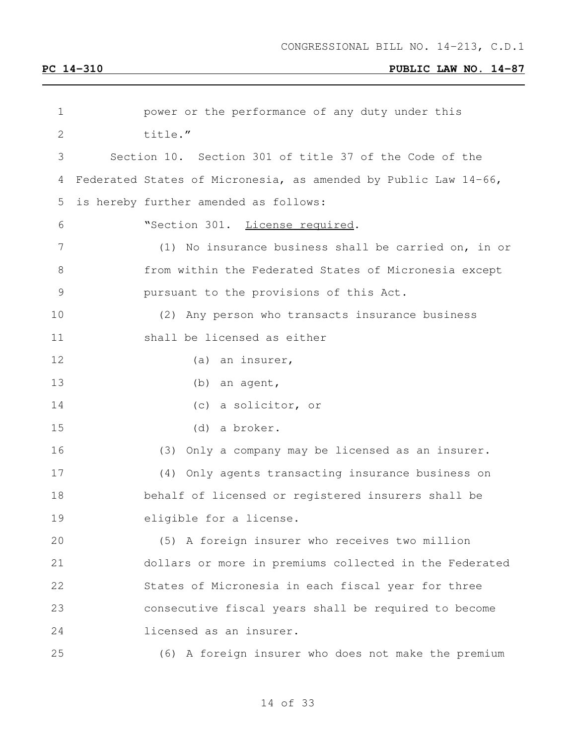| 1             | power or the performance of any duty under this                 |
|---------------|-----------------------------------------------------------------|
| $\mathbf 2$   | title."                                                         |
| 3             | Section 10. Section 301 of title 37 of the Code of the          |
| 4             | Federated States of Micronesia, as amended by Public Law 14-66, |
| 5             | is hereby further amended as follows:                           |
| 6             | "Section 301. License required.                                 |
| 7             | (1) No insurance business shall be carried on, in or            |
| 8             | from within the Federated States of Micronesia except           |
| $\mathcal{G}$ | pursuant to the provisions of this Act.                         |
| 10            | (2) Any person who transacts insurance business                 |
| 11            | shall be licensed as either                                     |
| 12            | (a) an insurer,                                                 |
| 13            | (b) an agent,                                                   |
| 14            | (c) a solicitor, or                                             |
| 15            | (d) a broker.                                                   |
| 16            | Only a company may be licensed as an insurer.<br>(3)            |
| 17            | (4) Only agents transacting insurance business on               |
| 18            | behalf of licensed or registered insurers shall be              |
| 19            | eligible for a license.                                         |
| 20            | (5) A foreign insurer who receives two million                  |
| 21            | dollars or more in premiums collected in the Federated          |
| 22            | States of Micronesia in each fiscal year for three              |
| 23            | consecutive fiscal years shall be required to become            |
| 24            | licensed as an insurer.                                         |
| 25            | (6) A foreign insurer who does not make the premium             |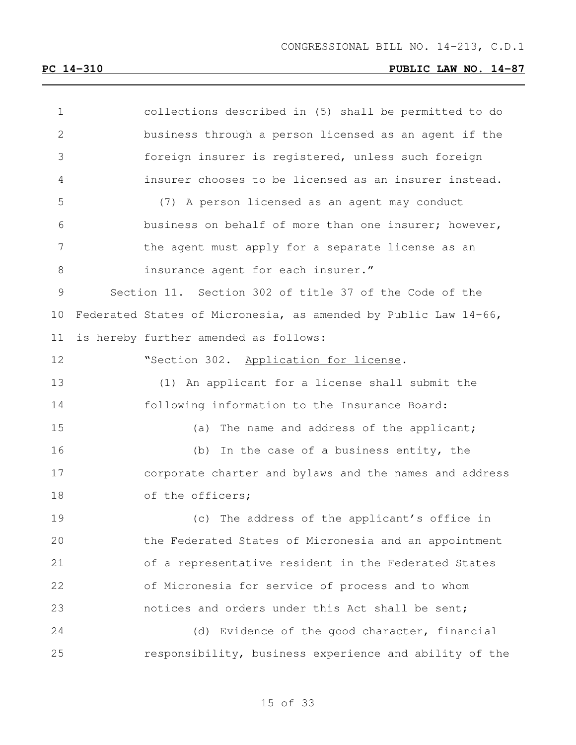| $\mathbf 1$    | collections described in (5) shall be permitted to do           |
|----------------|-----------------------------------------------------------------|
| $\overline{2}$ | business through a person licensed as an agent if the           |
| 3              | foreign insurer is registered, unless such foreign              |
| 4              | insurer chooses to be licensed as an insurer instead.           |
| 5              | (7) A person licensed as an agent may conduct                   |
| 6              | business on behalf of more than one insurer; however,           |
| 7              | the agent must apply for a separate license as an               |
| 8              | insurance agent for each insurer."                              |
| 9              | Section 11. Section 302 of title 37 of the Code of the          |
| 10             | Federated States of Micronesia, as amended by Public Law 14-66, |
| 11             | is hereby further amended as follows:                           |
| 12             | "Section 302. Application for license.                          |
| 13             | (1) An applicant for a license shall submit the                 |
| 14             | following information to the Insurance Board:                   |
| 15             | (a) The name and address of the applicant;                      |
| 16             | (b) In the case of a business entity, the                       |
| 17             | corporate charter and bylaws and the names and address          |
| 18             | of the officers;                                                |
| 19             | (c) The address of the applicant's office in                    |
| 20             | the Federated States of Micronesia and an appointment           |
| 21             | of a representative resident in the Federated States            |
| 22             | of Micronesia for service of process and to whom                |
| 23             | notices and orders under this Act shall be sent;                |
| 24             | (d) Evidence of the good character, financial                   |
| 25             | responsibility, business experience and ability of the          |
|                |                                                                 |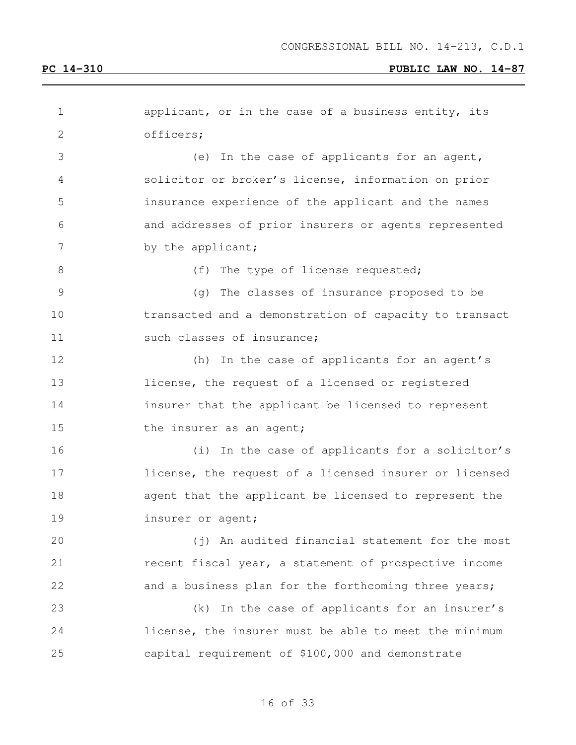| 1             | applicant, or in the case of a business entity, its    |
|---------------|--------------------------------------------------------|
| $\mathbf{2}$  | officers;                                              |
| 3             | (e) In the case of applicants for an agent,            |
| 4             | solicitor or broker's license, information on prior    |
| 5             | insurance experience of the applicant and the names    |
| 6             | and addresses of prior insurers or agents represented  |
| 7             | by the applicant;                                      |
| 8             | (f)<br>The type of license requested;                  |
| $\mathcal{G}$ | The classes of insurance proposed to be<br>(q)         |
| 10            | transacted and a demonstration of capacity to transact |
| 11            | such classes of insurance;                             |
| 12            | (h) In the case of applicants for an agent's           |
| 13            | license, the request of a licensed or registered       |
| 14            | insurer that the applicant be licensed to represent    |
| 15            | the insurer as an agent;                               |
| 16            | (i) In the case of applicants for a solicitor's        |
| 17            | license, the request of a licensed insurer or licensed |
| 18            | agent that the applicant be licensed to represent the  |
| 19            | insurer or agent;                                      |
| 20            | (j) An audited financial statement for the most        |
| 21            | recent fiscal year, a statement of prospective income  |
| 22            | and a business plan for the forthcoming three years;   |
| 23            | In the case of applicants for an insurer's<br>(k)      |
| 24            | license, the insurer must be able to meet the minimum  |
| 25            | capital requirement of \$100,000 and demonstrate       |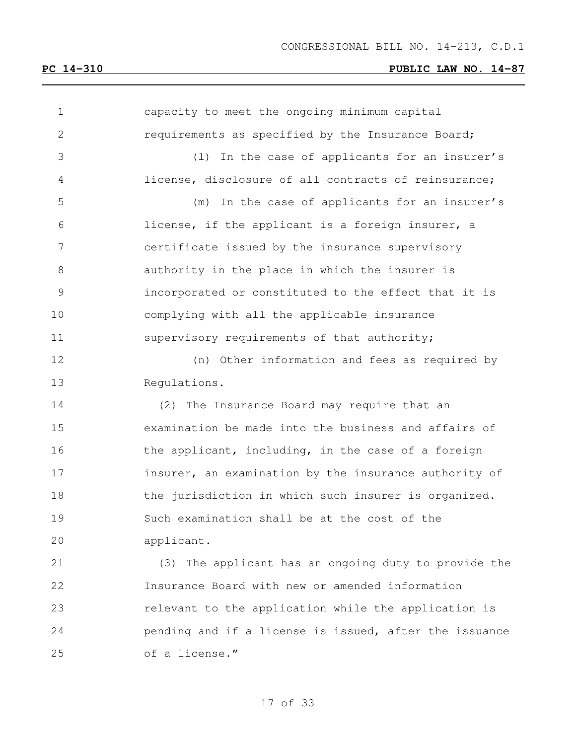| 1            | capacity to meet the ongoing minimum capital           |
|--------------|--------------------------------------------------------|
| $\mathbf{2}$ | requirements as specified by the Insurance Board;      |
| 3            | In the case of applicants for an insurer's<br>(1)      |
| 4            | license, disclosure of all contracts of reinsurance;   |
| 5            | In the case of applicants for an insurer's<br>(m)      |
| 6            | license, if the applicant is a foreign insurer, a      |
| 7            | certificate issued by the insurance supervisory        |
| $8\,$        | authority in the place in which the insurer is         |
| 9            | incorporated or constituted to the effect that it is   |
| 10           | complying with all the applicable insurance            |
| 11           | supervisory requirements of that authority;            |
| 12           | (n) Other information and fees as required by          |
| 13           | Regulations.                                           |
| 14           | (2) The Insurance Board may require that an            |
| 15           | examination be made into the business and affairs of   |
| 16           | the applicant, including, in the case of a foreign     |
| 17           | insurer, an examination by the insurance authority of  |
| 18           | the jurisdiction in which such insurer is organized.   |
| 19           | Such examination shall be at the cost of the           |
| 20           | applicant.                                             |
| 21           | (3) The applicant has an ongoing duty to provide the   |
| 22           | Insurance Board with new or amended information        |
| 23           | relevant to the application while the application is   |
| 24           | pending and if a license is issued, after the issuance |
| 25           | of a license."                                         |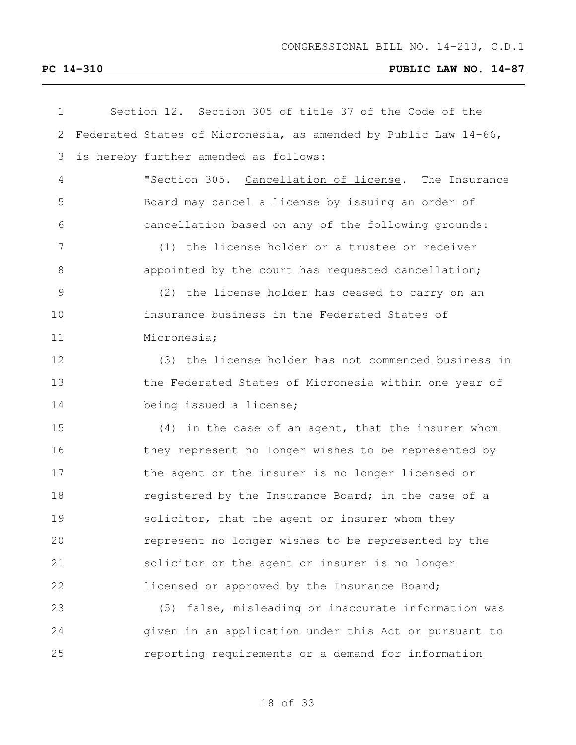| $\mathbf 1$   | Section 12. Section 305 of title 37 of the Code of the          |
|---------------|-----------------------------------------------------------------|
| $\mathbf{2}$  | Federated States of Micronesia, as amended by Public Law 14-66, |
| 3             | is hereby further amended as follows:                           |
| 4             | "Section 305. Cancellation of license. The Insurance            |
| 5             | Board may cancel a license by issuing an order of               |
| 6             | cancellation based on any of the following grounds:             |
| 7             | (1) the license holder or a trustee or receiver                 |
| 8             | appointed by the court has requested cancellation;              |
| $\mathcal{G}$ | (2) the license holder has ceased to carry on an                |
| 10            | insurance business in the Federated States of                   |
| 11            | Micronesia;                                                     |
| 12            | (3) the license holder has not commenced business in            |
| 13            | the Federated States of Micronesia within one year of           |
| 14            | being issued a license;                                         |
| 15            | (4) in the case of an agent, that the insurer whom              |
| 16            | they represent no longer wishes to be represented by            |
| 17            | the agent or the insurer is no longer licensed or               |
| 18            | registered by the Insurance Board; in the case of a             |
| 19            | solicitor, that the agent or insurer whom they                  |
| 20            | represent no longer wishes to be represented by the             |
| 21            | solicitor or the agent or insurer is no longer                  |
| 22            | licensed or approved by the Insurance Board;                    |
| 23            | (5) false, misleading or inaccurate information was             |
| 24            | given in an application under this Act or pursuant to           |
| 25            | reporting requirements or a demand for information              |
|               |                                                                 |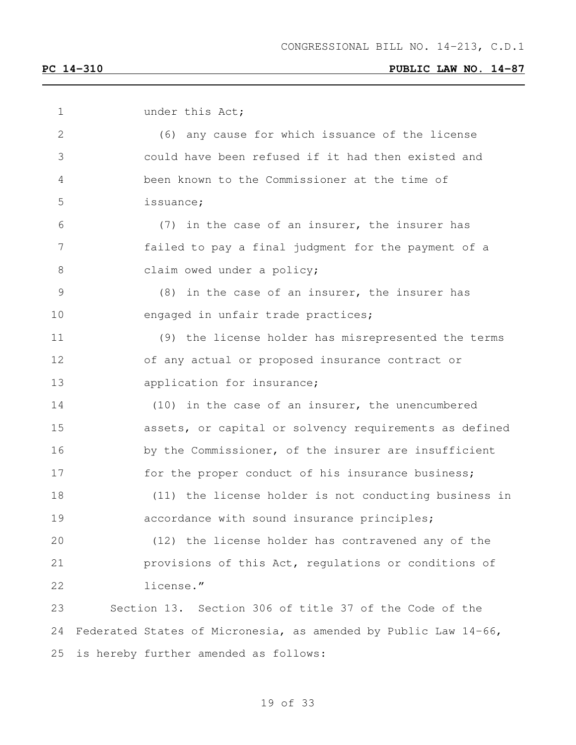| 1             | under this Act;                                                 |
|---------------|-----------------------------------------------------------------|
| 2             | (6) any cause for which issuance of the license                 |
| 3             | could have been refused if it had then existed and              |
| 4             | been known to the Commissioner at the time of                   |
| 5             | issuance;                                                       |
| 6             | (7) in the case of an insurer, the insurer has                  |
| 7             | failed to pay a final judgment for the payment of a             |
| 8             | claim owed under a policy;                                      |
| $\mathcal{G}$ | $(8)$ in the case of an insurer, the insurer has                |
| 10            | engaged in unfair trade practices;                              |
| 11            | (9) the license holder has misrepresented the terms             |
| 12            | of any actual or proposed insurance contract or                 |
| 13            | application for insurance;                                      |
| 14            | (10) in the case of an insurer, the unencumbered                |
| 15            | assets, or capital or solvency requirements as defined          |
| 16            | by the Commissioner, of the insurer are insufficient            |
| 17            | for the proper conduct of his insurance business;               |
| 18            | (11) the license holder is not conducting business in           |
| 19            | accordance with sound insurance principles;                     |
| 20            | (12) the license holder has contravened any of the              |
| 21            | provisions of this Act, regulations or conditions of            |
| 22            | license."                                                       |
| 23            | Section 13. Section 306 of title 37 of the Code of the          |
| 24            | Federated States of Micronesia, as amended by Public Law 14-66, |
| 25            | is hereby further amended as follows:                           |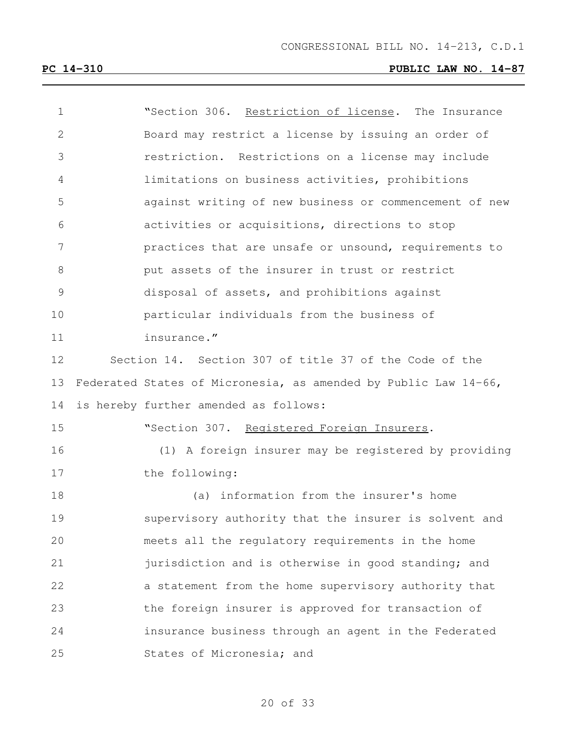| $\mathbf 1$    | "Section 306. Restriction of license. The Insurance             |
|----------------|-----------------------------------------------------------------|
| $\overline{2}$ | Board may restrict a license by issuing an order of             |
| 3              | restriction. Restrictions on a license may include              |
| 4              | limitations on business activities, prohibitions                |
| 5              | against writing of new business or commencement of new          |
| 6              | activities or acquisitions, directions to stop                  |
| 7              | practices that are unsafe or unsound, requirements to           |
| 8              | put assets of the insurer in trust or restrict                  |
| $\mathsf 9$    | disposal of assets, and prohibitions against                    |
| 10             | particular individuals from the business of                     |
| 11             | insurance."                                                     |
| 12             | Section 14. Section 307 of title 37 of the Code of the          |
| 13             | Federated States of Micronesia, as amended by Public Law 14-66, |
| 14             | is hereby further amended as follows:                           |
| 15             | "Section 307. Registered Foreign Insurers.                      |
| 16             | (1) A foreign insurer may be registered by providing            |
| 17             | the following:                                                  |
| 18             | (a) information from the insurer's home                         |
| 19             | supervisory authority that the insurer is solvent and           |
| 20             | meets all the regulatory requirements in the home               |
| 21             | jurisdiction and is otherwise in good standing; and             |
| 22             | a statement from the home supervisory authority that            |
| 23             | the foreign insurer is approved for transaction of              |
| 24             | insurance business through an agent in the Federated            |
| 25             | States of Micronesia; and                                       |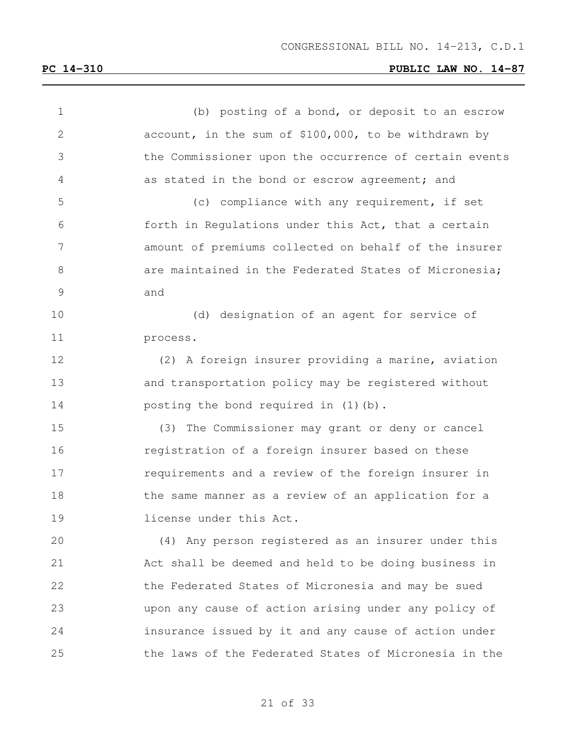| $\mathbf 1$  | (b) posting of a bond, or deposit to an escrow         |
|--------------|--------------------------------------------------------|
| $\mathbf{2}$ | account, in the sum of \$100,000, to be withdrawn by   |
| 3            | the Commissioner upon the occurrence of certain events |
| 4            | as stated in the bond or escrow agreement; and         |
| 5            | (c) compliance with any requirement, if set            |
| 6            | forth in Regulations under this Act, that a certain    |
| 7            | amount of premiums collected on behalf of the insurer  |
| 8            | are maintained in the Federated States of Micronesia;  |
| 9            | and                                                    |
| 10           | (d) designation of an agent for service of             |
| 11           | process.                                               |
| 12           | (2) A foreign insurer providing a marine, aviation     |
| 13           | and transportation policy may be registered without    |
| 14           | posting the bond required in (1)(b).                   |
| 15           | (3) The Commissioner may grant or deny or cancel       |
| 16           | registration of a foreign insurer based on these       |
| 17           | requirements and a review of the foreign insurer in    |
| 18           | the same manner as a review of an application for a    |
| 19           | license under this Act.                                |
| 20           | (4) Any person registered as an insurer under this     |
| 21           | Act shall be deemed and held to be doing business in   |
| 22           | the Federated States of Micronesia and may be sued     |
| 23           | upon any cause of action arising under any policy of   |
| 24           | insurance issued by it and any cause of action under   |
| 25           | the laws of the Federated States of Micronesia in the  |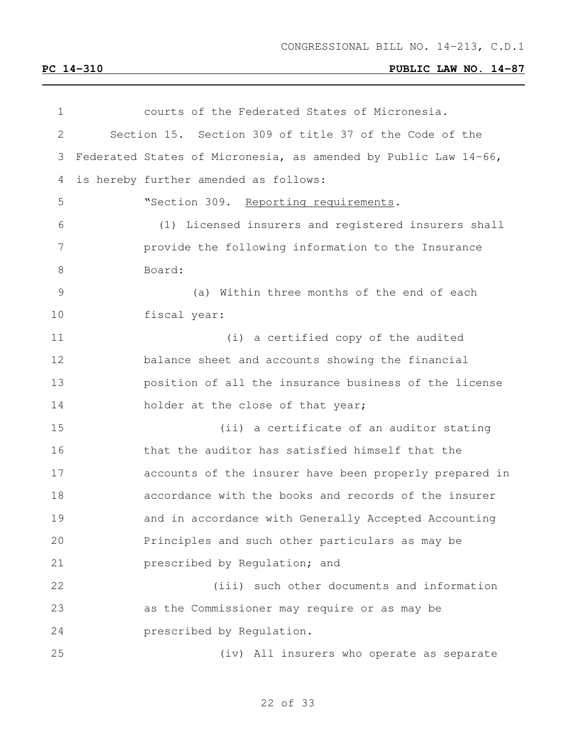| courts of the Federated States of Micronesia.                   |
|-----------------------------------------------------------------|
| Section 15. Section 309 of title 37 of the Code of the          |
| Federated States of Micronesia, as amended by Public Law 14-66, |
| is hereby further amended as follows:                           |
| "Section 309. Reporting requirements.                           |
| (1) Licensed insurers and registered insurers shall             |
| provide the following information to the Insurance              |
| Board:                                                          |
| (a) Within three months of the end of each                      |
| fiscal year:                                                    |
| (i) a certified copy of the audited                             |
| balance sheet and accounts showing the financial                |
| position of all the insurance business of the license           |
| holder at the close of that year;                               |
| (ii) a certificate of an auditor stating                        |
| that the auditor has satisfied himself that the                 |
| accounts of the insurer have been properly prepared in          |
| accordance with the books and records of the insurer            |
| and in accordance with Generally Accepted Accounting            |
| Principles and such other particulars as may be                 |
| prescribed by Regulation; and                                   |
| (iii) such other documents and information                      |
| as the Commissioner may require or as may be                    |
| prescribed by Regulation.                                       |
| (iv) All insurers who operate as separate                       |
|                                                                 |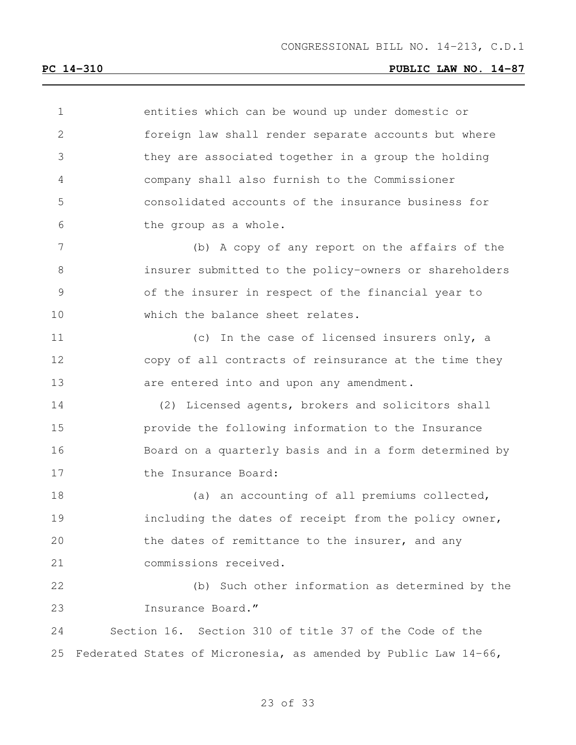| 1     | entities which can be wound up under domestic or                |
|-------|-----------------------------------------------------------------|
| 2     | foreign law shall render separate accounts but where            |
| 3     | they are associated together in a group the holding             |
| 4     | company shall also furnish to the Commissioner                  |
| 5     | consolidated accounts of the insurance business for             |
| 6     | the group as a whole.                                           |
| 7     | (b) A copy of any report on the affairs of the                  |
| $8\,$ | insurer submitted to the policy-owners or shareholders          |
| 9     | of the insurer in respect of the financial year to              |
| 10    | which the balance sheet relates.                                |
| 11    | (c) In the case of licensed insurers only, a                    |
| 12    | copy of all contracts of reinsurance at the time they           |
| 13    | are entered into and upon any amendment.                        |
| 14    | (2) Licensed agents, brokers and solicitors shall               |
| 15    | provide the following information to the Insurance              |
| 16    | Board on a quarterly basis and in a form determined by          |
| 17    | the Insurance Board:                                            |
| 18    | (a) an accounting of all premiums collected,                    |
| 19    | including the dates of receipt from the policy owner,           |
| 20    | the dates of remittance to the insurer, and any                 |
| 21    | commissions received.                                           |
| 22    | (b) Such other information as determined by the                 |
| 23    | Insurance Board."                                               |
| 24    | Section 16. Section 310 of title 37 of the Code of the          |
| 25    | Federated States of Micronesia, as amended by Public Law 14-66, |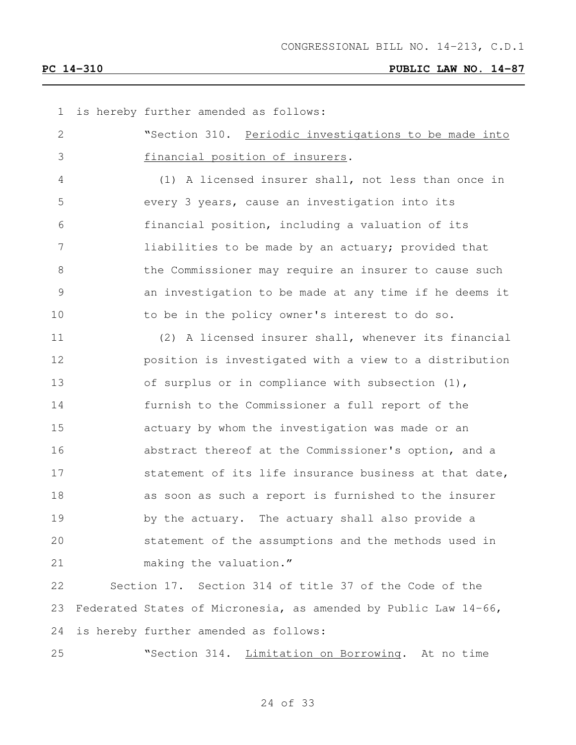| 1  | is hereby further amended as follows:                           |
|----|-----------------------------------------------------------------|
| 2  | "Section 310. Periodic investigations to be made into           |
| 3  | financial position of insurers.                                 |
| 4  | (1) A licensed insurer shall, not less than once in             |
| 5  | every 3 years, cause an investigation into its                  |
| 6  | financial position, including a valuation of its                |
| 7  | liabilities to be made by an actuary; provided that             |
| 8  | the Commissioner may require an insurer to cause such           |
| 9  | an investigation to be made at any time if he deems it          |
| 10 | to be in the policy owner's interest to do so.                  |
| 11 | (2) A licensed insurer shall, whenever its financial            |
| 12 | position is investigated with a view to a distribution          |
| 13 | of surplus or in compliance with subsection (1),                |
| 14 | furnish to the Commissioner a full report of the                |
| 15 | actuary by whom the investigation was made or an                |
| 16 | abstract thereof at the Commissioner's option, and a            |
| 17 | statement of its life insurance business at that date,          |
| 18 | as soon as such a report is furnished to the insurer            |
| 19 | by the actuary. The actuary shall also provide a                |
| 20 | statement of the assumptions and the methods used in            |
| 21 | making the valuation."                                          |
| 22 | Section 17. Section 314 of title 37 of the Code of the          |
| 23 | Federated States of Micronesia, as amended by Public Law 14-66, |
| 24 | is hereby further amended as follows:                           |
| 25 | "Section 314. Limitation on Borrowing. At no time               |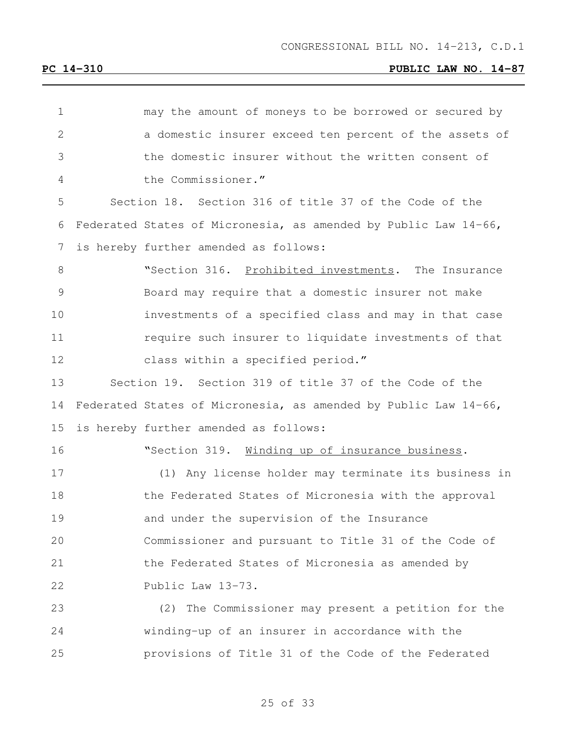| 1  | may the amount of moneys to be borrowed or secured by           |
|----|-----------------------------------------------------------------|
| 2  | a domestic insurer exceed ten percent of the assets of          |
| 3  | the domestic insurer without the written consent of             |
| 4  | the Commissioner."                                              |
| 5  | Section 18. Section 316 of title 37 of the Code of the          |
| 6  | Federated States of Micronesia, as amended by Public Law 14-66, |
| 7  | is hereby further amended as follows:                           |
| 8  | "Section 316. Prohibited investments. The Insurance             |
| 9  | Board may require that a domestic insurer not make              |
| 10 | investments of a specified class and may in that case           |
| 11 | require such insurer to liquidate investments of that           |
| 12 | class within a specified period."                               |
| 13 | Section 19. Section 319 of title 37 of the Code of the          |
| 14 | Federated States of Micronesia, as amended by Public Law 14-66, |
| 15 | is hereby further amended as follows:                           |
| 16 | "Section 319. Winding up of insurance business.                 |
| 17 | (1) Any license holder may terminate its business in            |
| 18 | the Federated States of Micronesia with the approval            |
| 19 | and under the supervision of the Insurance                      |
| 20 | Commissioner and pursuant to Title 31 of the Code of            |
| 21 | the Federated States of Micronesia as amended by                |
| 22 | Public Law 13-73.                                               |
| 23 | (2) The Commissioner may present a petition for the             |
| 24 | winding-up of an insurer in accordance with the                 |
| 25 | provisions of Title 31 of the Code of the Federated             |
|    |                                                                 |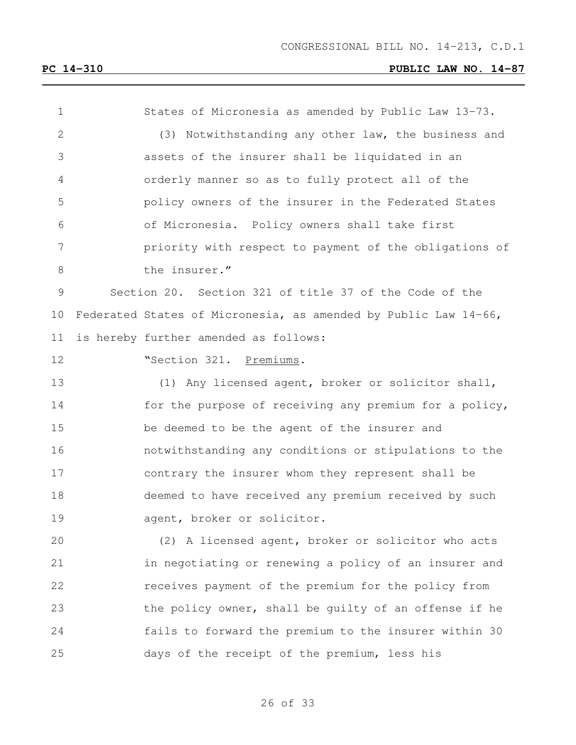| 1  | States of Micronesia as amended by Public Law 13-73.            |
|----|-----------------------------------------------------------------|
| 2  | (3) Notwithstanding any other law, the business and             |
| 3  | assets of the insurer shall be liquidated in an                 |
| 4  | orderly manner so as to fully protect all of the                |
| 5  | policy owners of the insurer in the Federated States            |
| 6  | of Micronesia. Policy owners shall take first                   |
| 7  | priority with respect to payment of the obligations of          |
| 8  | the insurer."                                                   |
| 9  | Section 20. Section 321 of title 37 of the Code of the          |
| 10 | Federated States of Micronesia, as amended by Public Law 14-66, |
| 11 | is hereby further amended as follows:                           |
| 12 | "Section 321. Premiums.                                         |
| 13 | (1) Any licensed agent, broker or solicitor shall,              |
| 14 | for the purpose of receiving any premium for a policy,          |
| 15 | be deemed to be the agent of the insurer and                    |
| 16 | notwithstanding any conditions or stipulations to the           |
| 17 | contrary the insurer whom they represent shall be               |
| 18 | deemed to have received any premium received by such            |
| 19 | agent, broker or solicitor.                                     |
| 20 | (2) A licensed agent, broker or solicitor who acts              |
| 21 | in negotiating or renewing a policy of an insurer and           |
| 22 | receives payment of the premium for the policy from             |
| 23 | the policy owner, shall be guilty of an offense if he           |
| 24 | fails to forward the premium to the insurer within 30           |
| 25 | days of the receipt of the premium, less his                    |
|    |                                                                 |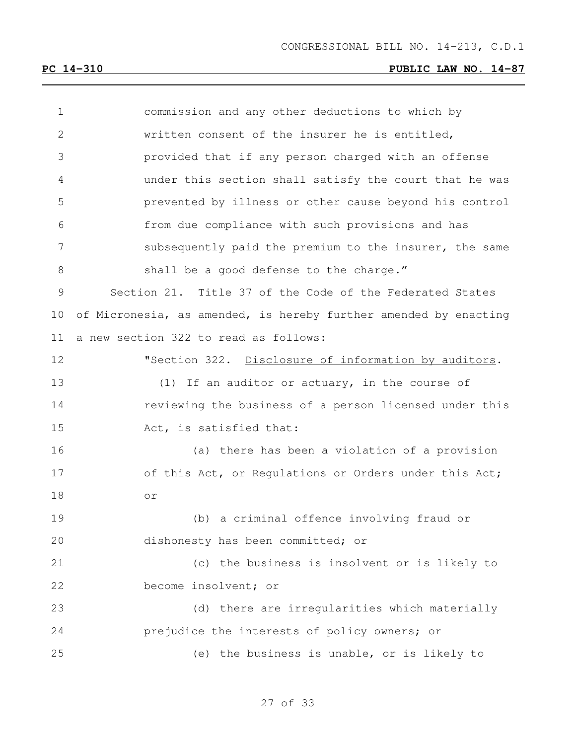| 1             | commission and any other deductions to which by                  |
|---------------|------------------------------------------------------------------|
| 2             | written consent of the insurer he is entitled,                   |
| 3             | provided that if any person charged with an offense              |
| 4             | under this section shall satisfy the court that he was           |
| 5             | prevented by illness or other cause beyond his control           |
| 6             | from due compliance with such provisions and has                 |
| 7             | subsequently paid the premium to the insurer, the same           |
| 8             | shall be a good defense to the charge."                          |
| $\mathcal{G}$ | Section 21. Title 37 of the Code of the Federated States         |
| 10            | of Micronesia, as amended, is hereby further amended by enacting |
| 11            | a new section 322 to read as follows:                            |
| 12            | "Section 322. Disclosure of information by auditors.             |
| 13            | (1) If an auditor or actuary, in the course of                   |
| 14            | reviewing the business of a person licensed under this           |
| 15            | Act, is satisfied that:                                          |
| 16            | (a) there has been a violation of a provision                    |
| 17            | of this Act, or Regulations or Orders under this Act;            |
| 18            | $\circ$ $\,$                                                     |
| 19            | (b) a criminal offence involving fraud or                        |
| 20            | dishonesty has been committed; or                                |
| 21            | (c) the business is insolvent or is likely to                    |
| 22            | become insolvent; or                                             |
| 23            | (d) there are irregularities which materially                    |
| 24            | prejudice the interests of policy owners; or                     |
| 25            | (e) the business is unable, or is likely to                      |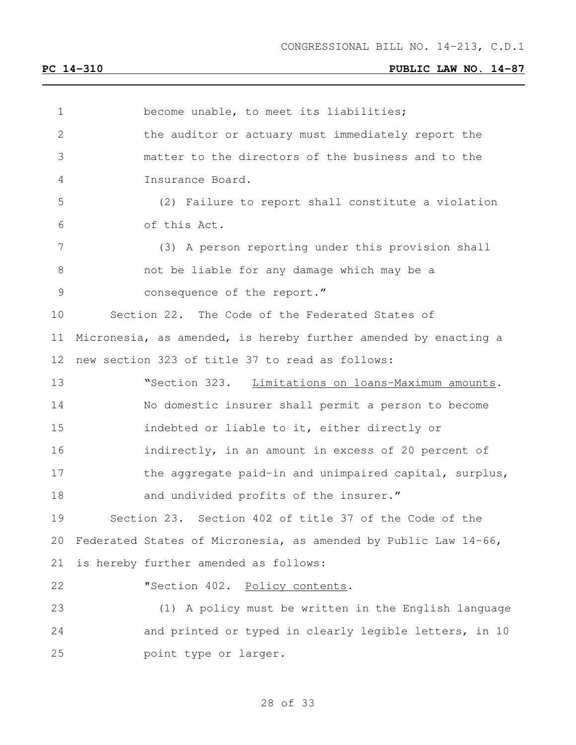become unable, to meet its liabilities; the auditor or actuary must immediately report the matter to the directors of the business and to the Insurance Board. (2) Failure to report shall constitute a violation of this Act. (3) A person reporting under this provision shall not be liable for any damage which may be a 9 consequence of the report." Section 22. The Code of the Federated States of Micronesia, as amended, is hereby further amended by enacting a new section 323 of title 37 to read as follows: 13 Westion 323. Limitations on loans-Maximum amounts. No domestic insurer shall permit a person to become indebted or liable to it, either directly or indirectly, in an amount in excess of 20 percent of 17 the aggregate paid-in and unimpaired capital, surplus, 18 and undivided profits of the insurer." Section 23. Section 402 of title 37 of the Code of the Federated States of Micronesia, as amended by Public Law 14-66, is hereby further amended as follows: **"Section 402.** Policy contents. (1) A policy must be written in the English language and printed or typed in clearly legible letters, in 10 point type or larger.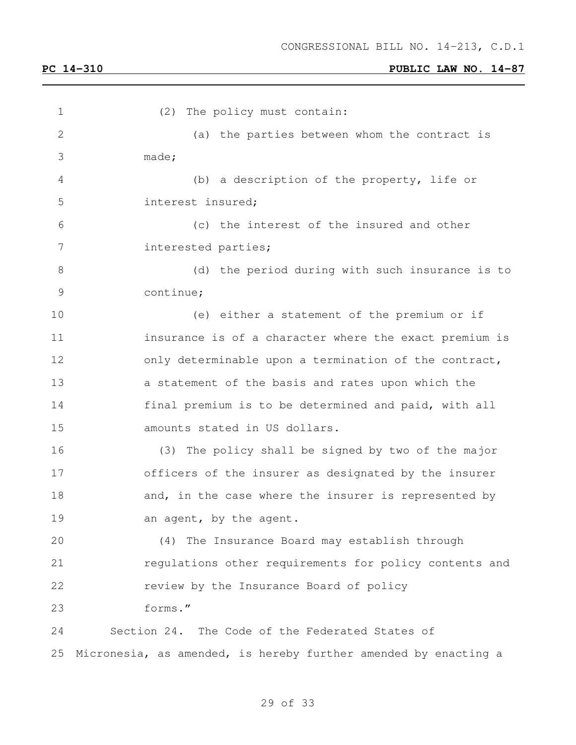| 1  | (2) The policy must contain:                                    |
|----|-----------------------------------------------------------------|
| 2  | (a) the parties between whom the contract is                    |
| 3  | made;                                                           |
| 4  | (b) a description of the property, life or                      |
| 5  | interest insured;                                               |
| 6  | (c) the interest of the insured and other                       |
| 7  | interested parties;                                             |
| 8  | (d) the period during with such insurance is to                 |
| 9  | continue;                                                       |
| 10 | (e) either a statement of the premium or if                     |
| 11 | insurance is of a character where the exact premium is          |
| 12 | only determinable upon a termination of the contract,           |
| 13 | a statement of the basis and rates upon which the               |
| 14 | final premium is to be determined and paid, with all            |
| 15 | amounts stated in US dollars.                                   |
| 16 | (3) The policy shall be signed by two of the major              |
| 17 | officers of the insurer as designated by the insurer            |
| 18 | and, in the case where the insurer is represented by            |
| 19 | an agent, by the agent.                                         |
| 20 | (4) The Insurance Board may establish through                   |
| 21 | regulations other requirements for policy contents and          |
| 22 | review by the Insurance Board of policy                         |
| 23 | forms."                                                         |
| 24 | Section 24. The Code of the Federated States of                 |
| 25 | Micronesia, as amended, is hereby further amended by enacting a |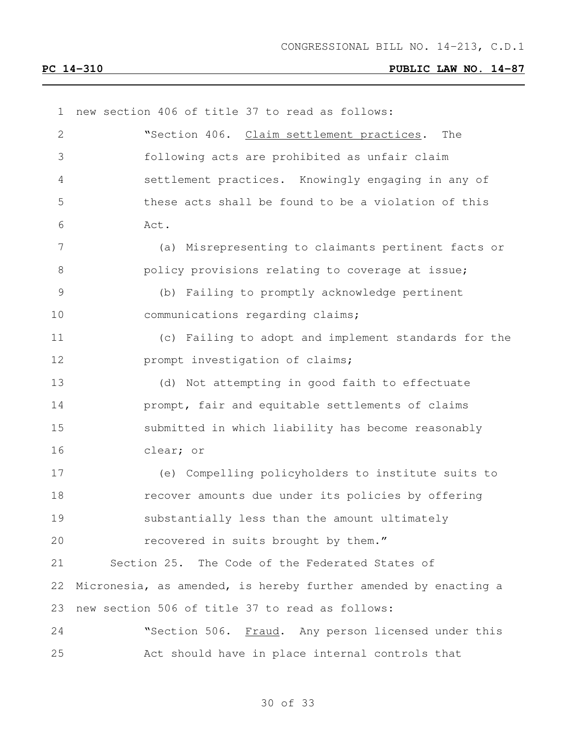| $\mathbf 1$   | new section 406 of title 37 to read as follows:                 |
|---------------|-----------------------------------------------------------------|
| $\mathbf{2}$  | "Section 406. Claim settlement practices.<br>The                |
| 3             | following acts are prohibited as unfair claim                   |
| 4             | settlement practices. Knowingly engaging in any of              |
| 5             | these acts shall be found to be a violation of this             |
| 6             | Act.                                                            |
| 7             | (a) Misrepresenting to claimants pertinent facts or             |
| 8             | policy provisions relating to coverage at issue;                |
| $\mathcal{G}$ | (b) Failing to promptly acknowledge pertinent                   |
| 10            | communications regarding claims;                                |
| 11            | (c) Failing to adopt and implement standards for the            |
| 12            | prompt investigation of claims;                                 |
| 13            | (d) Not attempting in good faith to effectuate                  |
| 14            | prompt, fair and equitable settlements of claims                |
| 15            | submitted in which liability has become reasonably              |
| 16            | clear; or                                                       |
| 17            | (e) Compelling policyholders to institute suits to              |
| 18            | recover amounts due under its policies by offering              |
| 19            | substantially less than the amount ultimately                   |
| 20            | recovered in suits brought by them."                            |
| 21            | Section 25. The Code of the Federated States of                 |
| 22            | Micronesia, as amended, is hereby further amended by enacting a |
| 23            | new section 506 of title 37 to read as follows:                 |
| 24            | "Section 506. Fraud. Any person licensed under this             |
| 25            | Act should have in place internal controls that                 |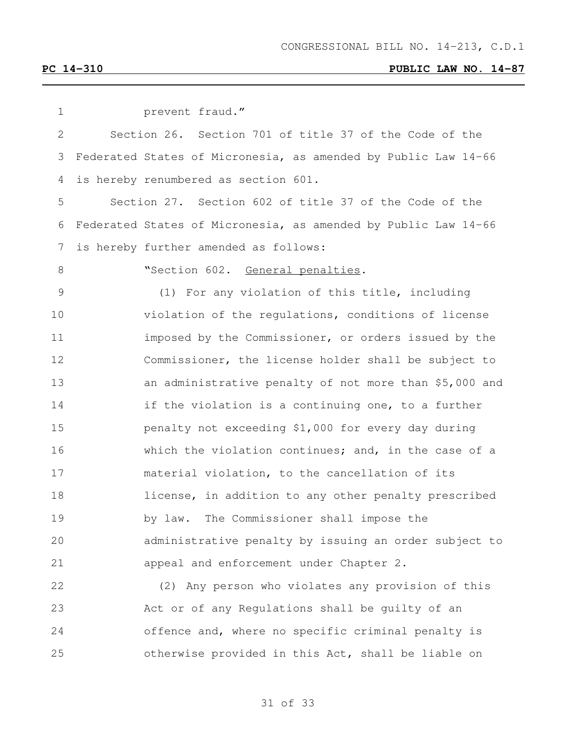| 1             | prevent fraud."                                                |
|---------------|----------------------------------------------------------------|
| 2             | Section 26. Section 701 of title 37 of the Code of the         |
| 3             | Federated States of Micronesia, as amended by Public Law 14-66 |
| 4             | is hereby renumbered as section 601.                           |
| 5             | Section 27. Section 602 of title 37 of the Code of the         |
| 6             | Federated States of Micronesia, as amended by Public Law 14-66 |
| 7             | is hereby further amended as follows:                          |
| $8\,$         | "Section 602. General penalties.                               |
| $\mathcal{G}$ | (1) For any violation of this title, including                 |
| 10            | violation of the regulations, conditions of license            |
| 11            | imposed by the Commissioner, or orders issued by the           |
| 12            | Commissioner, the license holder shall be subject to           |
| 13            | an administrative penalty of not more than \$5,000 and         |
| 14            | if the violation is a continuing one, to a further             |
| 15            | penalty not exceeding \$1,000 for every day during             |
| 16            | which the violation continues; and, in the case of a           |
| 17            | material violation, to the cancellation of its                 |
| 18            | license, in addition to any other penalty prescribed           |
| 19            | The Commissioner shall impose the<br>by law.                   |
| 20            | administrative penalty by issuing an order subject to          |
| 21            | appeal and enforcement under Chapter 2.                        |
| 22            | (2) Any person who violates any provision of this              |
| 23            | Act or of any Regulations shall be quilty of an                |
| 24            | offence and, where no specific criminal penalty is             |
| 25            | otherwise provided in this Act, shall be liable on             |
|               |                                                                |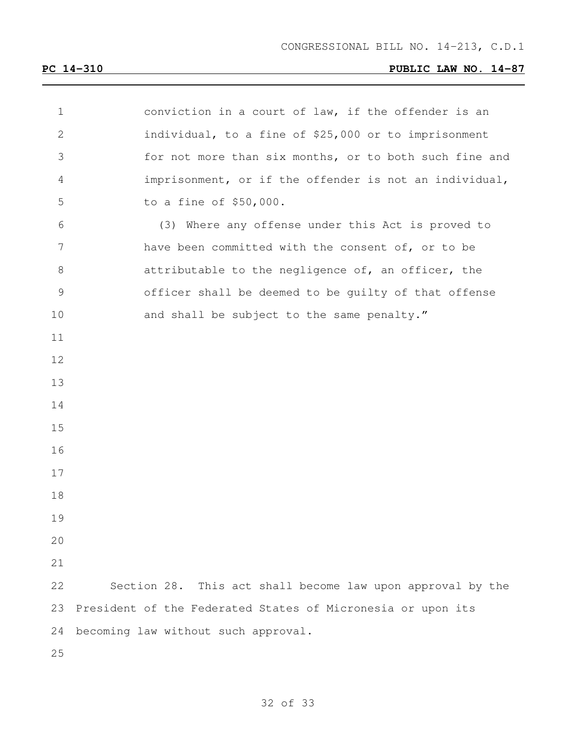| $\mathbf 1$     | conviction in a court of law, if the offender is an         |
|-----------------|-------------------------------------------------------------|
| $\mathbf{2}$    | individual, to a fine of \$25,000 or to imprisonment        |
| 3               | for not more than six months, or to both such fine and      |
| $\overline{4}$  | imprisonment, or if the offender is not an individual,      |
| 5               | to a fine of \$50,000.                                      |
| 6               | (3) Where any offense under this Act is proved to           |
| $7\phantom{.0}$ | have been committed with the consent of, or to be           |
| $\,8\,$         | attributable to the negligence of, an officer, the          |
| $\mathcal{G}$   | officer shall be deemed to be guilty of that offense        |
| 10              | and shall be subject to the same penalty."                  |
| 11              |                                                             |
| 12              |                                                             |
| 13              |                                                             |
| 14              |                                                             |
| 15              |                                                             |
| 16              |                                                             |
| 17              |                                                             |
| 18              |                                                             |
| 19              |                                                             |
| 20              |                                                             |
| 21              |                                                             |
| 22              | Section 28. This act shall become law upon approval by the  |
| 23              | President of the Federated States of Micronesia or upon its |
| 24              | becoming law without such approval.                         |
| 25              |                                                             |